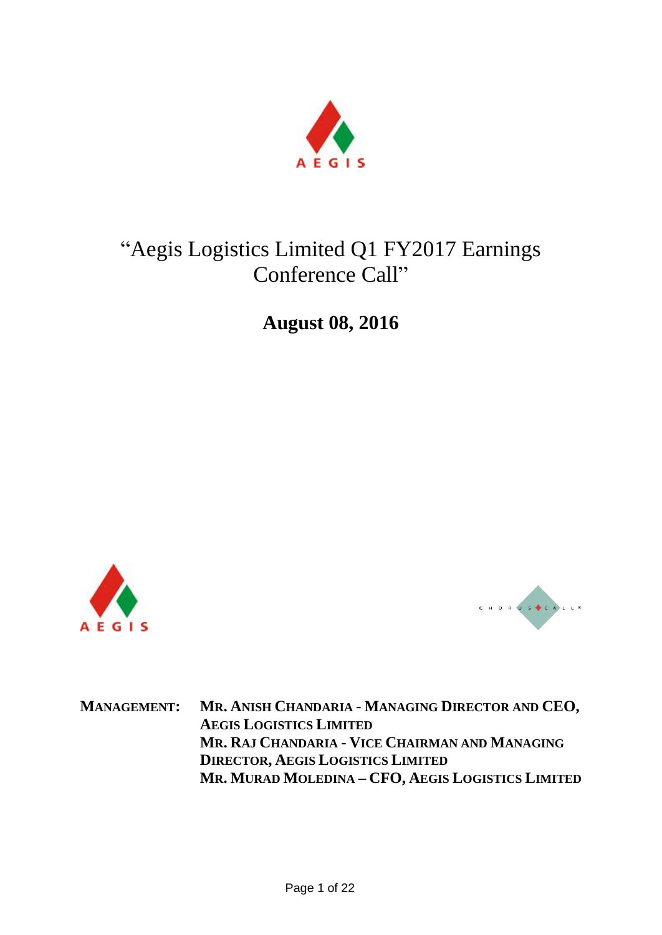

# "Aegis Logistics Limited Q1 FY2017 Earnings Conference Call"

**August 08, 2016**





**MANAGEMENT: MR. ANISH CHANDARIA - MANAGING DIRECTOR AND CEO, AEGIS LOGISTICS LIMITED MR. RAJ CHANDARIA - VICE CHAIRMAN AND MANAGING DIRECTOR, AEGIS LOGISTICS LIMITED MR. MURAD MOLEDINA – CFO, AEGIS LOGISTICS LIMITED**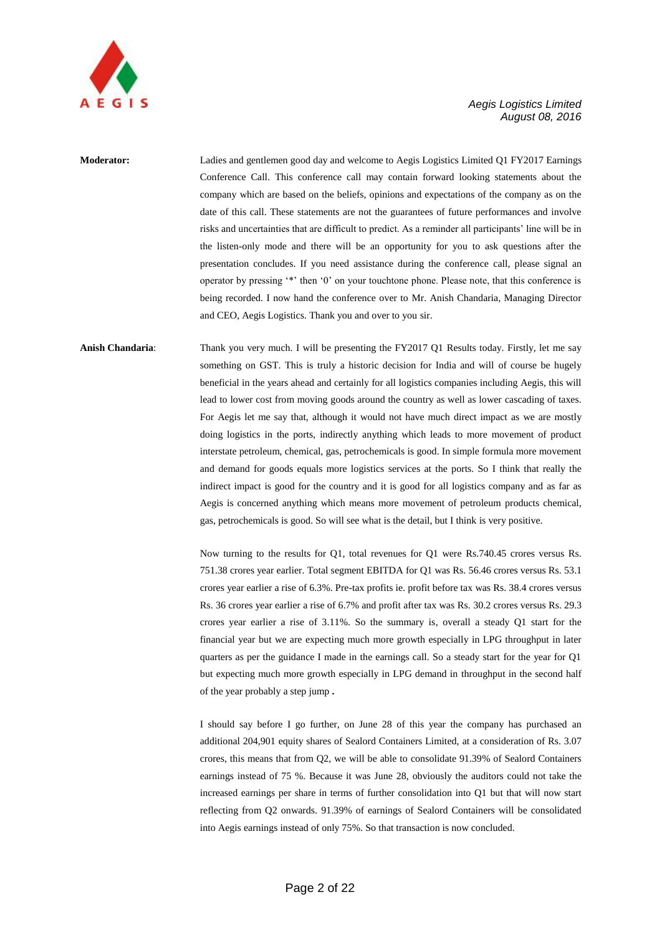

## **Moderator:** Ladies and gentlemen good day and welcome to Aegis Logistics Limited Q1 FY2017 Earnings Conference Call. This conference call may contain forward looking statements about the company which are based on the beliefs, opinions and expectations of the company as on the date of this call. These statements are not the guarantees of future performances and involve risks and uncertainties that are difficult to predict. As a reminder all participants" line will be in the listen-only mode and there will be an opportunity for you to ask questions after the presentation concludes. If you need assistance during the conference call, please signal an operator by pressing "\*" then "0" on your touchtone phone. Please note, that this conference is being recorded. I now hand the conference over to Mr. Anish Chandaria, Managing Director and CEO, Aegis Logistics. Thank you and over to you sir.

## **Anish Chandaria**: Thank you very much. I will be presenting the FY2017 Q1 Results today. Firstly, let me say something on GST. This is truly a historic decision for India and will of course be hugely beneficial in the years ahead and certainly for all logistics companies including Aegis, this will lead to lower cost from moving goods around the country as well as lower cascading of taxes. For Aegis let me say that, although it would not have much direct impact as we are mostly doing logistics in the ports, indirectly anything which leads to more movement of product interstate petroleum, chemical, gas, petrochemicals is good. In simple formula more movement and demand for goods equals more logistics services at the ports. So I think that really the indirect impact is good for the country and it is good for all logistics company and as far as Aegis is concerned anything which means more movement of petroleum products chemical, gas, petrochemicals is good. So will see what is the detail, but I think is very positive.

Now turning to the results for Q1, total revenues for Q1 were Rs.740.45 crores versus Rs. 751.38 crores year earlier. Total segment EBITDA for Q1 was Rs. 56.46 crores versus Rs. 53.1 crores year earlier a rise of 6.3%. Pre-tax profits ie. profit before tax was Rs. 38.4 crores versus Rs. 36 crores year earlier a rise of 6.7% and profit after tax was Rs. 30.2 crores versus Rs. 29.3 crores year earlier a rise of 3.11%. So the summary is, overall a steady Q1 start for the financial year but we are expecting much more growth especially in LPG throughput in later quarters as per the guidance I made in the earnings call. So a steady start for the year for Q1 but expecting much more growth especially in LPG demand in throughput in the second half of the year probably a step jump **.**

I should say before I go further, on June 28 of this year the company has purchased an additional 204,901 equity shares of Sealord Containers Limited, at a consideration of Rs. 3.07 crores, this means that from Q2, we will be able to consolidate 91.39% of Sealord Containers earnings instead of 75 %. Because it was June 28, obviously the auditors could not take the increased earnings per share in terms of further consolidation into Q1 but that will now start reflecting from Q2 onwards. 91.39% of earnings of Sealord Containers will be consolidated into Aegis earnings instead of only 75%. So that transaction is now concluded.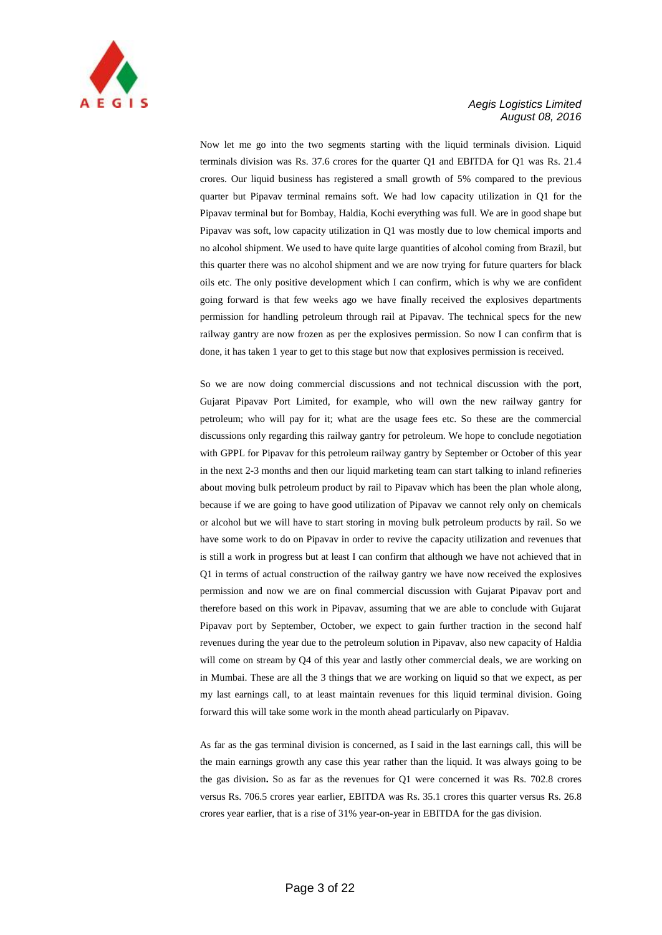

Now let me go into the two segments starting with the liquid terminals division. Liquid terminals division was Rs. 37.6 crores for the quarter Q1 and EBITDA for Q1 was Rs. 21.4 crores. Our liquid business has registered a small growth of 5% compared to the previous quarter but Pipavav terminal remains soft. We had low capacity utilization in Q1 for the Pipavav terminal but for Bombay, Haldia, Kochi everything was full. We are in good shape but Pipavav was soft, low capacity utilization in Q1 was mostly due to low chemical imports and no alcohol shipment. We used to have quite large quantities of alcohol coming from Brazil, but this quarter there was no alcohol shipment and we are now trying for future quarters for black oils etc. The only positive development which I can confirm, which is why we are confident going forward is that few weeks ago we have finally received the explosives departments permission for handling petroleum through rail at Pipavav. The technical specs for the new railway gantry are now frozen as per the explosives permission. So now I can confirm that is done, it has taken 1 year to get to this stage but now that explosives permission is received.

So we are now doing commercial discussions and not technical discussion with the port, Gujarat Pipavav Port Limited, for example, who will own the new railway gantry for petroleum; who will pay for it; what are the usage fees etc. So these are the commercial discussions only regarding this railway gantry for petroleum. We hope to conclude negotiation with GPPL for Pipavav for this petroleum railway gantry by September or October of this year in the next 2-3 months and then our liquid marketing team can start talking to inland refineries about moving bulk petroleum product by rail to Pipavav which has been the plan whole along, because if we are going to have good utilization of Pipavav we cannot rely only on chemicals or alcohol but we will have to start storing in moving bulk petroleum products by rail. So we have some work to do on Pipavav in order to revive the capacity utilization and revenues that is still a work in progress but at least I can confirm that although we have not achieved that in Q1 in terms of actual construction of the railway gantry we have now received the explosives permission and now we are on final commercial discussion with Gujarat Pipavav port and therefore based on this work in Pipavav, assuming that we are able to conclude with Gujarat Pipavav port by September, October, we expect to gain further traction in the second half revenues during the year due to the petroleum solution in Pipavav, also new capacity of Haldia will come on stream by Q4 of this year and lastly other commercial deals, we are working on in Mumbai. These are all the 3 things that we are working on liquid so that we expect, as per my last earnings call, to at least maintain revenues for this liquid terminal division. Going forward this will take some work in the month ahead particularly on Pipavav.

As far as the gas terminal division is concerned, as I said in the last earnings call, this will be the main earnings growth any case this year rather than the liquid. It was always going to be the gas division**.** So as far as the revenues for Q1 were concerned it was Rs. 702.8 crores versus Rs. 706.5 crores year earlier, EBITDA was Rs. 35.1 crores this quarter versus Rs. 26.8 crores year earlier, that is a rise of 31% year-on-year in EBITDA for the gas division.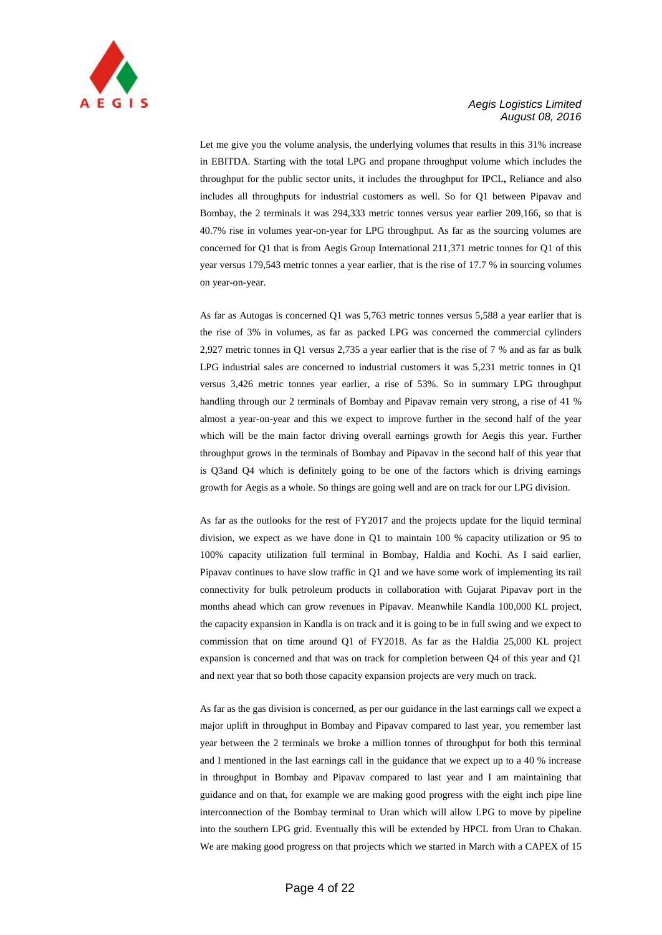

Let me give you the volume analysis, the underlying volumes that results in this 31% increase in EBITDA. Starting with the total LPG and propane throughput volume which includes the throughput for the public sector units, it includes the throughput for IPCL**,** Reliance and also includes all throughputs for industrial customers as well. So for Q1 between Pipavav and Bombay, the 2 terminals it was 294,333 metric tonnes versus year earlier 209,166, so that is 40.7% rise in volumes year-on-year for LPG throughput. As far as the sourcing volumes are concerned for Q1 that is from Aegis Group International 211,371 metric tonnes for Q1 of this year versus 179,543 metric tonnes a year earlier, that is the rise of 17.7 % in sourcing volumes on year-on-year.

As far as Autogas is concerned Q1 was 5,763 metric tonnes versus 5,588 a year earlier that is the rise of 3% in volumes, as far as packed LPG was concerned the commercial cylinders 2,927 metric tonnes in Q1 versus 2,735 a year earlier that is the rise of 7 % and as far as bulk LPG industrial sales are concerned to industrial customers it was 5,231 metric tonnes in Q1 versus 3,426 metric tonnes year earlier, a rise of 53%. So in summary LPG throughput handling through our 2 terminals of Bombay and Pipavav remain very strong, a rise of 41 % almost a year-on-year and this we expect to improve further in the second half of the year which will be the main factor driving overall earnings growth for Aegis this year. Further throughput grows in the terminals of Bombay and Pipavav in the second half of this year that is Q3and Q4 which is definitely going to be one of the factors which is driving earnings growth for Aegis as a whole. So things are going well and are on track for our LPG division.

As far as the outlooks for the rest of FY2017 and the projects update for the liquid terminal division, we expect as we have done in Q1 to maintain 100 % capacity utilization or 95 to 100% capacity utilization full terminal in Bombay, Haldia and Kochi. As I said earlier, Pipavav continues to have slow traffic in Q1 and we have some work of implementing its rail connectivity for bulk petroleum products in collaboration with Gujarat Pipavav port in the months ahead which can grow revenues in Pipavav. Meanwhile Kandla 100,000 KL project, the capacity expansion in Kandla is on track and it is going to be in full swing and we expect to commission that on time around Q1 of FY2018. As far as the Haldia 25,000 KL project expansion is concerned and that was on track for completion between Q4 of this year and Q1 and next year that so both those capacity expansion projects are very much on track.

As far as the gas division is concerned, as per our guidance in the last earnings call we expect a major uplift in throughput in Bombay and Pipavav compared to last year, you remember last year between the 2 terminals we broke a million tonnes of throughput for both this terminal and I mentioned in the last earnings call in the guidance that we expect up to a 40 % increase in throughput in Bombay and Pipavav compared to last year and I am maintaining that guidance and on that, for example we are making good progress with the eight inch pipe line interconnection of the Bombay terminal to Uran which will allow LPG to move by pipeline into the southern LPG grid. Eventually this will be extended by HPCL from Uran to Chakan. We are making good progress on that projects which we started in March with a CAPEX of 15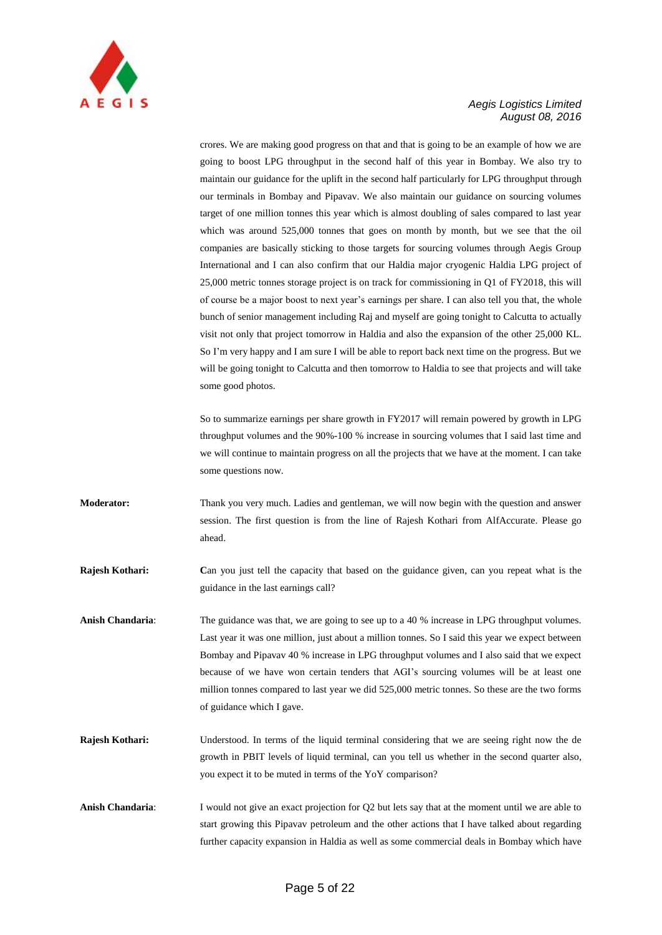

crores. We are making good progress on that and that is going to be an example of how we are going to boost LPG throughput in the second half of this year in Bombay. We also try to maintain our guidance for the uplift in the second half particularly for LPG throughput through our terminals in Bombay and Pipavav. We also maintain our guidance on sourcing volumes target of one million tonnes this year which is almost doubling of sales compared to last year which was around 525,000 tonnes that goes on month by month, but we see that the oil companies are basically sticking to those targets for sourcing volumes through Aegis Group International and I can also confirm that our Haldia major cryogenic Haldia LPG project of 25,000 metric tonnes storage project is on track for commissioning in Q1 of FY2018, this will of course be a major boost to next year"s earnings per share. I can also tell you that, the whole bunch of senior management including Raj and myself are going tonight to Calcutta to actually visit not only that project tomorrow in Haldia and also the expansion of the other 25,000 KL. So I"m very happy and I am sure I will be able to report back next time on the progress. But we will be going tonight to Calcutta and then tomorrow to Haldia to see that projects and will take some good photos.

So to summarize earnings per share growth in FY2017 will remain powered by growth in LPG throughput volumes and the 90%-100 % increase in sourcing volumes that I said last time and we will continue to maintain progress on all the projects that we have at the moment. I can take some questions now.

**Moderator:** Thank you very much. Ladies and gentleman, we will now begin with the question and answer session. The first question is from the line of Rajesh Kothari from AlfAccurate. Please go ahead.

**Rajesh Kothari:** Can you just tell the capacity that based on the guidance given, can you repeat what is the guidance in the last earnings call?

**Anish Chandaria**: The guidance was that, we are going to see up to a 40 % increase in LPG throughput volumes. Last year it was one million, just about a million tonnes. So I said this year we expect between Bombay and Pipavav 40 % increase in LPG throughput volumes and I also said that we expect because of we have won certain tenders that AGI"s sourcing volumes will be at least one million tonnes compared to last year we did 525,000 metric tonnes. So these are the two forms of guidance which I gave.

- **Rajesh Kothari:** Understood. In terms of the liquid terminal considering that we are seeing right now the de growth in PBIT levels of liquid terminal, can you tell us whether in the second quarter also, you expect it to be muted in terms of the YoY comparison?
- **Anish Chandaria**: I would not give an exact projection for Q2 but lets say that at the moment until we are able to start growing this Pipavav petroleum and the other actions that I have talked about regarding further capacity expansion in Haldia as well as some commercial deals in Bombay which have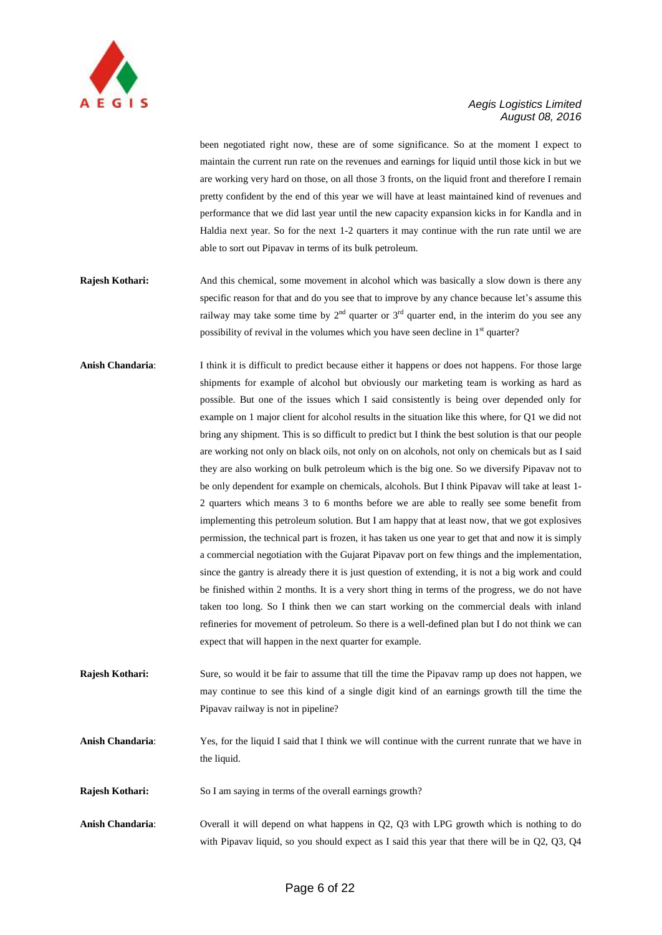

been negotiated right now, these are of some significance. So at the moment I expect to maintain the current run rate on the revenues and earnings for liquid until those kick in but we are working very hard on those, on all those 3 fronts, on the liquid front and therefore I remain pretty confident by the end of this year we will have at least maintained kind of revenues and performance that we did last year until the new capacity expansion kicks in for Kandla and in Haldia next year. So for the next 1-2 quarters it may continue with the run rate until we are able to sort out Pipavav in terms of its bulk petroleum.

- **Rajesh Kothari:** And this chemical, some movement in alcohol which was basically a slow down is there any specific reason for that and do you see that to improve by any chance because let's assume this railway may take some time by  $2<sup>nd</sup>$  quarter or  $3<sup>rd</sup>$  quarter end, in the interim do you see any possibility of revival in the volumes which you have seen decline in  $1<sup>st</sup>$  quarter?
- **Anish Chandaria**: I think it is difficult to predict because either it happens or does not happens. For those large shipments for example of alcohol but obviously our marketing team is working as hard as possible. But one of the issues which I said consistently is being over depended only for example on 1 major client for alcohol results in the situation like this where, for Q1 we did not bring any shipment. This is so difficult to predict but I think the best solution is that our people are working not only on black oils, not only on on alcohols, not only on chemicals but as I said they are also working on bulk petroleum which is the big one. So we diversify Pipavav not to be only dependent for example on chemicals, alcohols. But I think Pipavav will take at least 1- 2 quarters which means 3 to 6 months before we are able to really see some benefit from implementing this petroleum solution. But I am happy that at least now, that we got explosives permission, the technical part is frozen, it has taken us one year to get that and now it is simply a commercial negotiation with the Gujarat Pipavav port on few things and the implementation, since the gantry is already there it is just question of extending, it is not a big work and could be finished within 2 months. It is a very short thing in terms of the progress, we do not have taken too long. So I think then we can start working on the commercial deals with inland refineries for movement of petroleum. So there is a well-defined plan but I do not think we can expect that will happen in the next quarter for example.
- **Rajesh Kothari:** Sure, so would it be fair to assume that till the time the Pipavav ramp up does not happen, we may continue to see this kind of a single digit kind of an earnings growth till the time the Pipavav railway is not in pipeline?
- **Anish Chandaria**: Yes, for the liquid I said that I think we will continue with the current runrate that we have in the liquid.
- **Rajesh Kothari:** So I am saying in terms of the overall earnings growth?
- **Anish Chandaria**: Overall it will depend on what happens in Q2, Q3 with LPG growth which is nothing to do with Pipavav liquid, so you should expect as I said this year that there will be in Q2, Q3, Q4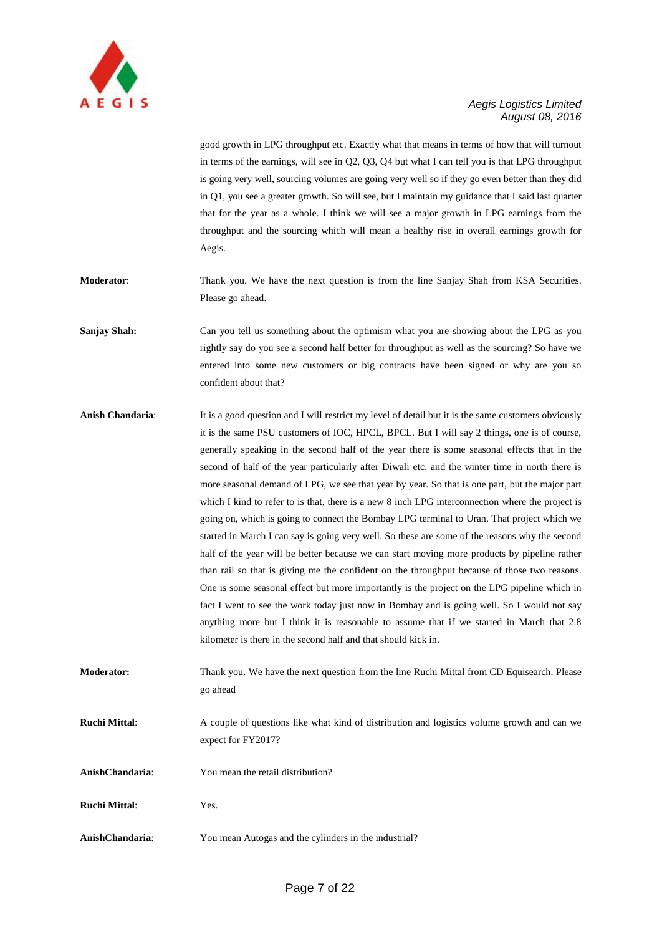

good growth in LPG throughput etc. Exactly what that means in terms of how that will turnout in terms of the earnings, will see in Q2, Q3, Q4 but what I can tell you is that LPG throughput is going very well, sourcing volumes are going very well so if they go even better than they did in Q1, you see a greater growth. So will see, but I maintain my guidance that I said last quarter that for the year as a whole. I think we will see a major growth in LPG earnings from the throughput and the sourcing which will mean a healthy rise in overall earnings growth for Aegis.

**Moderator:** Thank you. We have the next question is from the line Sanjay Shah from KSA Securities. Please go ahead.

**Sanjay Shah:** Can you tell us something about the optimism what you are showing about the LPG as you rightly say do you see a second half better for throughput as well as the sourcing? So have we entered into some new customers or big contracts have been signed or why are you so confident about that?

**Anish Chandaria**: It is a good question and I will restrict my level of detail but it is the same customers obviously it is the same PSU customers of IOC, HPCL, BPCL. But I will say 2 things, one is of course, generally speaking in the second half of the year there is some seasonal effects that in the second of half of the year particularly after Diwali etc. and the winter time in north there is more seasonal demand of LPG, we see that year by year. So that is one part, but the major part which I kind to refer to is that, there is a new 8 inch LPG interconnection where the project is going on, which is going to connect the Bombay LPG terminal to Uran. That project which we started in March I can say is going very well. So these are some of the reasons why the second half of the year will be better because we can start moving more products by pipeline rather than rail so that is giving me the confident on the throughput because of those two reasons. One is some seasonal effect but more importantly is the project on the LPG pipeline which in fact I went to see the work today just now in Bombay and is going well. So I would not say anything more but I think it is reasonable to assume that if we started in March that 2.8 kilometer is there in the second half and that should kick in.

**Moderator:** Thank you. We have the next question from the line Ruchi Mittal from CD Equisearch. Please go ahead

**Ruchi Mittal**: A couple of questions like what kind of distribution and logistics volume growth and can we expect for FY2017?

**AnishChandaria**: You mean the retail distribution?

**Ruchi Mittal**: Yes.

**AnishChandaria**: You mean Autogas and the cylinders in the industrial?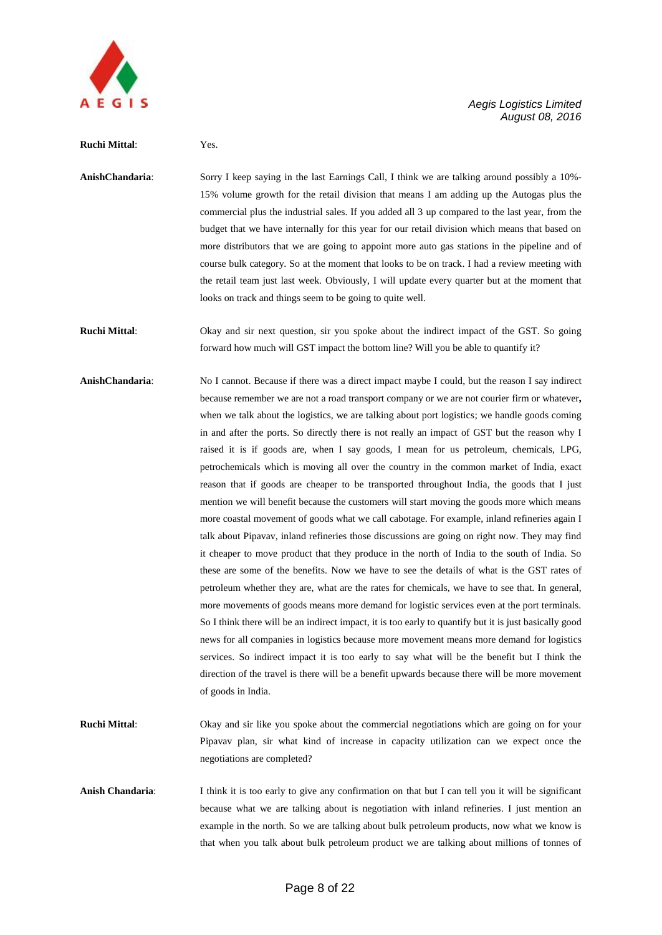

#### **Ruchi Mittal**: Yes.

**AnishChandaria**: Sorry I keep saying in the last Earnings Call, I think we are talking around possibly a 10%- 15% volume growth for the retail division that means I am adding up the Autogas plus the commercial plus the industrial sales. If you added all 3 up compared to the last year, from the budget that we have internally for this year for our retail division which means that based on more distributors that we are going to appoint more auto gas stations in the pipeline and of course bulk category. So at the moment that looks to be on track. I had a review meeting with the retail team just last week. Obviously, I will update every quarter but at the moment that looks on track and things seem to be going to quite well.

**Ruchi Mittal**: Okay and sir next question, sir you spoke about the indirect impact of the GST. So going forward how much will GST impact the bottom line? Will you be able to quantify it?

- **AnishChandaria**: No I cannot. Because if there was a direct impact maybe I could, but the reason I say indirect because remember we are not a road transport company or we are not courier firm or whatever**,** when we talk about the logistics, we are talking about port logistics; we handle goods coming in and after the ports. So directly there is not really an impact of GST but the reason why I raised it is if goods are, when I say goods, I mean for us petroleum, chemicals, LPG, petrochemicals which is moving all over the country in the common market of India, exact reason that if goods are cheaper to be transported throughout India, the goods that I just mention we will benefit because the customers will start moving the goods more which means more coastal movement of goods what we call cabotage. For example, inland refineries again I talk about Pipavav, inland refineries those discussions are going on right now. They may find it cheaper to move product that they produce in the north of India to the south of India. So these are some of the benefits. Now we have to see the details of what is the GST rates of petroleum whether they are, what are the rates for chemicals, we have to see that. In general, more movements of goods means more demand for logistic services even at the port terminals. So I think there will be an indirect impact, it is too early to quantify but it is just basically good news for all companies in logistics because more movement means more demand for logistics services. So indirect impact it is too early to say what will be the benefit but I think the direction of the travel is there will be a benefit upwards because there will be more movement of goods in India.
- **Ruchi Mittal**: Okay and sir like you spoke about the commercial negotiations which are going on for your Pipavav plan, sir what kind of increase in capacity utilization can we expect once the negotiations are completed?
- **Anish Chandaria**: I think it is too early to give any confirmation on that but I can tell you it will be significant because what we are talking about is negotiation with inland refineries. I just mention an example in the north. So we are talking about bulk petroleum products, now what we know is that when you talk about bulk petroleum product we are talking about millions of tonnes of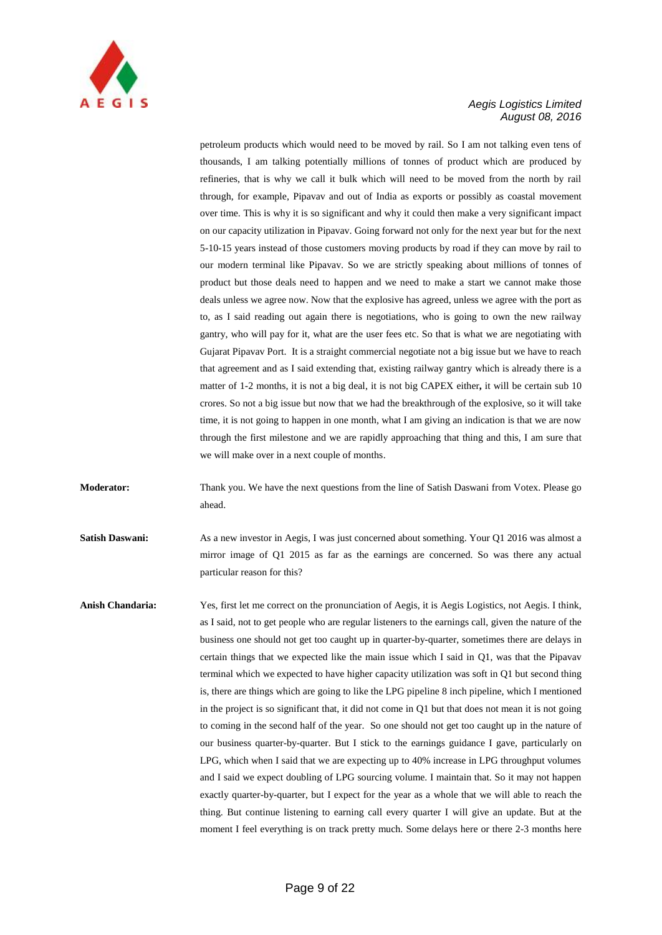

petroleum products which would need to be moved by rail. So I am not talking even tens of thousands, I am talking potentially millions of tonnes of product which are produced by refineries, that is why we call it bulk which will need to be moved from the north by rail through, for example, Pipavav and out of India as exports or possibly as coastal movement over time. This is why it is so significant and why it could then make a very significant impact on our capacity utilization in Pipavav. Going forward not only for the next year but for the next 5-10-15 years instead of those customers moving products by road if they can move by rail to our modern terminal like Pipavav. So we are strictly speaking about millions of tonnes of product but those deals need to happen and we need to make a start we cannot make those deals unless we agree now. Now that the explosive has agreed, unless we agree with the port as to, as I said reading out again there is negotiations, who is going to own the new railway gantry, who will pay for it, what are the user fees etc. So that is what we are negotiating with Gujarat Pipavav Port. It is a straight commercial negotiate not a big issue but we have to reach that agreement and as I said extending that, existing railway gantry which is already there is a matter of 1-2 months, it is not a big deal, it is not big CAPEX either**,** it will be certain sub 10 crores. So not a big issue but now that we had the breakthrough of the explosive, so it will take time, it is not going to happen in one month, what I am giving an indication is that we are now through the first milestone and we are rapidly approaching that thing and this, I am sure that we will make over in a next couple of months.

**Moderator:** Thank you. We have the next questions from the line of Satish Daswani from Votex. Please go ahead.

**Satish Daswani:** As a new investor in Aegis, I was just concerned about something. Your Q1 2016 was almost a mirror image of Q1 2015 as far as the earnings are concerned. So was there any actual particular reason for this?

**Anish Chandaria:** Yes, first let me correct on the pronunciation of Aegis, it is Aegis Logistics, not Aegis. I think, as I said, not to get people who are regular listeners to the earnings call, given the nature of the business one should not get too caught up in quarter-by-quarter, sometimes there are delays in certain things that we expected like the main issue which I said in Q1, was that the Pipavav terminal which we expected to have higher capacity utilization was soft in Q1 but second thing is, there are things which are going to like the LPG pipeline 8 inch pipeline, which I mentioned in the project is so significant that, it did not come in Q1 but that does not mean it is not going to coming in the second half of the year. So one should not get too caught up in the nature of our business quarter-by-quarter. But I stick to the earnings guidance I gave, particularly on LPG, which when I said that we are expecting up to 40% increase in LPG throughput volumes and I said we expect doubling of LPG sourcing volume. I maintain that. So it may not happen exactly quarter-by-quarter, but I expect for the year as a whole that we will able to reach the thing. But continue listening to earning call every quarter I will give an update. But at the moment I feel everything is on track pretty much. Some delays here or there 2-3 months here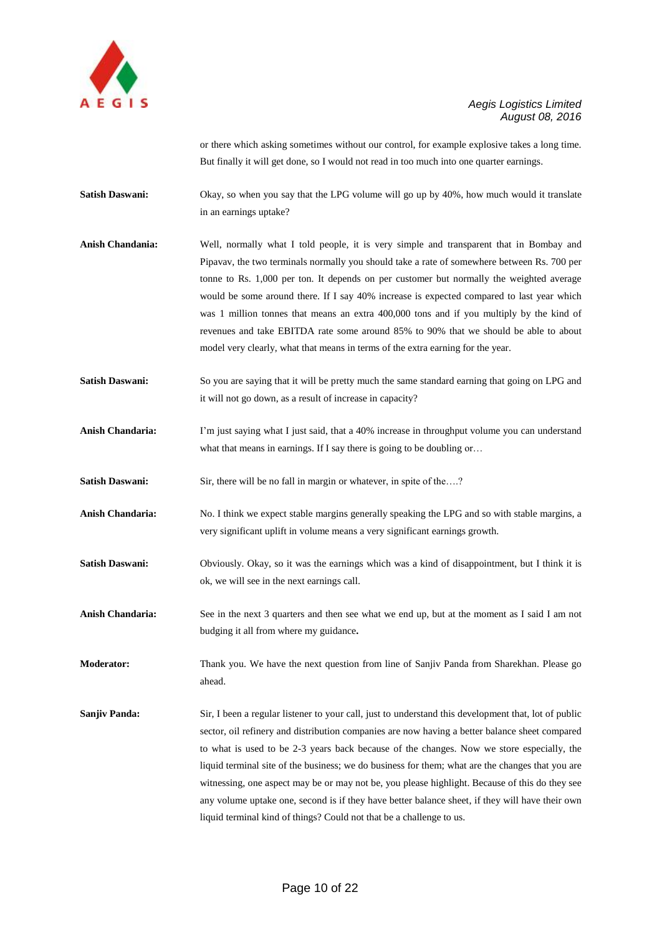

or there which asking sometimes without our control, for example explosive takes a long time. But finally it will get done, so I would not read in too much into one quarter earnings.

**Satish Daswani:** Okay, so when you say that the LPG volume will go up by 40%, how much would it translate in an earnings uptake?

- **Anish Chandania:** Well, normally what I told people, it is very simple and transparent that in Bombay and Pipavav, the two terminals normally you should take a rate of somewhere between Rs. 700 per tonne to Rs. 1,000 per ton. It depends on per customer but normally the weighted average would be some around there. If I say 40% increase is expected compared to last year which was 1 million tonnes that means an extra 400,000 tons and if you multiply by the kind of revenues and take EBITDA rate some around 85% to 90% that we should be able to about model very clearly, what that means in terms of the extra earning for the year.
- **Satish Daswani:** So you are saying that it will be pretty much the same standard earning that going on LPG and it will not go down, as a result of increase in capacity?
- Anish Chandaria: I'm just saying what I just said, that a 40% increase in throughput volume you can understand what that means in earnings. If I say there is going to be doubling or...
- Satish Daswani: Sir, there will be no fall in margin or whatever, in spite of the....?
- **Anish Chandaria:** No. I think we expect stable margins generally speaking the LPG and so with stable margins, a very significant uplift in volume means a very significant earnings growth.
- **Satish Daswani:** Obviously. Okay, so it was the earnings which was a kind of disappointment, but I think it is ok, we will see in the next earnings call.
- **Anish Chandaria:** See in the next 3 quarters and then see what we end up, but at the moment as I said I am not budging it all from where my guidance**.**
- **Moderator:** Thank you. We have the next question from line of Sanjiv Panda from Sharekhan. Please go ahead.
- **Sanjiv Panda:** Sir, I been a regular listener to your call, just to understand this development that, lot of public sector, oil refinery and distribution companies are now having a better balance sheet compared to what is used to be 2-3 years back because of the changes. Now we store especially, the liquid terminal site of the business; we do business for them; what are the changes that you are witnessing, one aspect may be or may not be, you please highlight. Because of this do they see any volume uptake one, second is if they have better balance sheet, if they will have their own liquid terminal kind of things? Could not that be a challenge to us.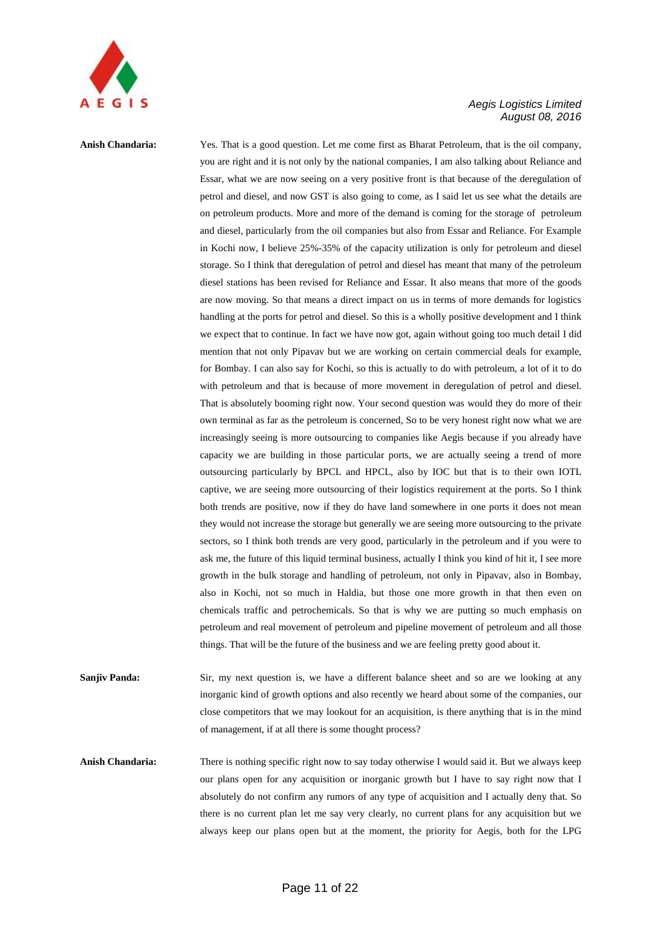

## **Anish Chandaria:** Yes. That is a good question. Let me come first as Bharat Petroleum, that is the oil company, you are right and it is not only by the national companies, I am also talking about Reliance and Essar, what we are now seeing on a very positive front is that because of the deregulation of petrol and diesel, and now GST is also going to come, as I said let us see what the details are on petroleum products. More and more of the demand is coming for the storage of petroleum and diesel, particularly from the oil companies but also from Essar and Reliance. For Example in Kochi now, I believe 25%-35% of the capacity utilization is only for petroleum and diesel storage. So I think that deregulation of petrol and diesel has meant that many of the petroleum diesel stations has been revised for Reliance and Essar. It also means that more of the goods are now moving. So that means a direct impact on us in terms of more demands for logistics handling at the ports for petrol and diesel. So this is a wholly positive development and I think we expect that to continue. In fact we have now got, again without going too much detail I did mention that not only Pipavav but we are working on certain commercial deals for example, for Bombay. I can also say for Kochi, so this is actually to do with petroleum, a lot of it to do with petroleum and that is because of more movement in deregulation of petrol and diesel. That is absolutely booming right now. Your second question was would they do more of their own terminal as far as the petroleum is concerned, So to be very honest right now what we are increasingly seeing is more outsourcing to companies like Aegis because if you already have capacity we are building in those particular ports, we are actually seeing a trend of more outsourcing particularly by BPCL and HPCL, also by IOC but that is to their own IOTL captive, we are seeing more outsourcing of their logistics requirement at the ports. So I think both trends are positive, now if they do have land somewhere in one ports it does not mean they would not increase the storage but generally we are seeing more outsourcing to the private sectors, so I think both trends are very good, particularly in the petroleum and if you were to ask me, the future of this liquid terminal business, actually I think you kind of hit it, I see more growth in the bulk storage and handling of petroleum, not only in Pipavav, also in Bombay, also in Kochi, not so much in Haldia, but those one more growth in that then even on chemicals traffic and petrochemicals. So that is why we are putting so much emphasis on petroleum and real movement of petroleum and pipeline movement of petroleum and all those things. That will be the future of the business and we are feeling pretty good about it.

**Sanjiv Panda:** Sir, my next question is, we have a different balance sheet and so are we looking at any inorganic kind of growth options and also recently we heard about some of the companies, our close competitors that we may lookout for an acquisition, is there anything that is in the mind of management, if at all there is some thought process?

**Anish Chandaria:** There is nothing specific right now to say today otherwise I would said it. But we always keep our plans open for any acquisition or inorganic growth but I have to say right now that I absolutely do not confirm any rumors of any type of acquisition and I actually deny that. So there is no current plan let me say very clearly, no current plans for any acquisition but we always keep our plans open but at the moment, the priority for Aegis, both for the LPG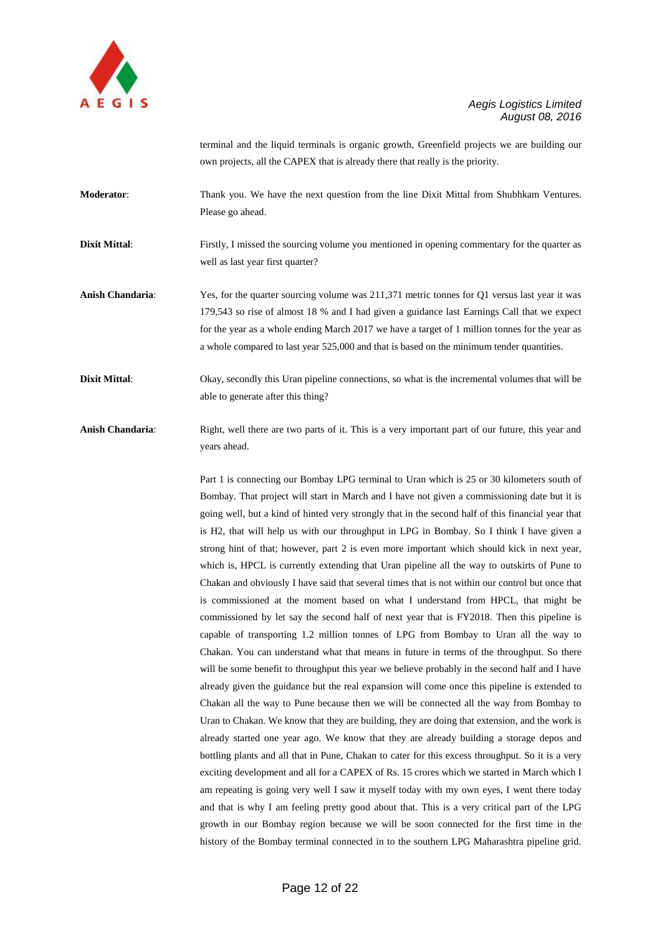

terminal and the liquid terminals is organic growth, Greenfield projects we are building our own projects, all the CAPEX that is already there that really is the priority.

**Moderator**: Thank you. We have the next question from the line Dixit Mittal from Shubhkam Ventures. Please go ahead.

**Dixit Mittal:** Firstly, I missed the sourcing volume you mentioned in opening commentary for the quarter as well as last year first quarter?

**Anish Chandaria**: Yes, for the quarter sourcing volume was 211,371 metric tonnes for Q1 versus last year it was 179,543 so rise of almost 18 % and I had given a guidance last Earnings Call that we expect for the year as a whole ending March 2017 we have a target of 1 million tonnes for the year as a whole compared to last year 525,000 and that is based on the minimum tender quantities.

**Dixit Mittal:** Okay, secondly this Uran pipeline connections, so what is the incremental volumes that will be able to generate after this thing?

**Anish Chandaria**: Right, well there are two parts of it. This is a very important part of our future, this year and years ahead.

> Part 1 is connecting our Bombay LPG terminal to Uran which is 25 or 30 kilometers south of Bombay. That project will start in March and I have not given a commissioning date but it is going well, but a kind of hinted very strongly that in the second half of this financial year that is H2, that will help us with our throughput in LPG in Bombay. So I think I have given a strong hint of that; however, part 2 is even more important which should kick in next year, which is, HPCL is currently extending that Uran pipeline all the way to outskirts of Pune to Chakan and obviously I have said that several times that is not within our control but once that is commissioned at the moment based on what I understand from HPCL, that might be commissioned by let say the second half of next year that is FY2018. Then this pipeline is capable of transporting 1.2 million tonnes of LPG from Bombay to Uran all the way to Chakan. You can understand what that means in future in terms of the throughput. So there will be some benefit to throughput this year we believe probably in the second half and I have already given the guidance but the real expansion will come once this pipeline is extended to Chakan all the way to Pune because then we will be connected all the way from Bombay to Uran to Chakan. We know that they are building, they are doing that extension, and the work is already started one year ago. We know that they are already building a storage depos and bottling plants and all that in Pune, Chakan to cater for this excess throughput. So it is a very exciting development and all for a CAPEX of Rs. 15 crores which we started in March which I am repeating is going very well I saw it myself today with my own eyes, I went there today and that is why I am feeling pretty good about that. This is a very critical part of the LPG growth in our Bombay region because we will be soon connected for the first time in the history of the Bombay terminal connected in to the southern LPG Maharashtra pipeline grid.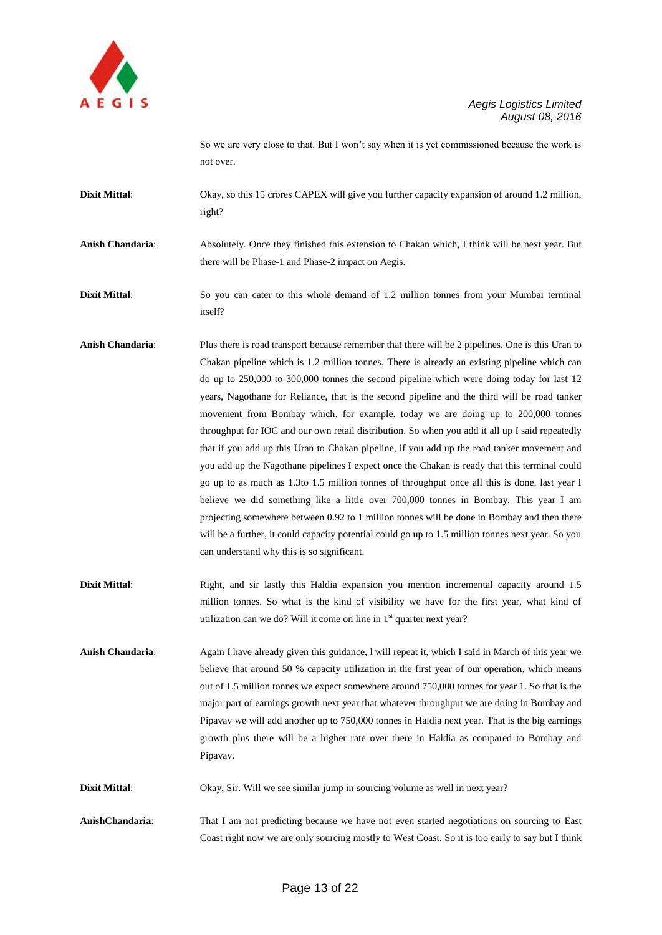

So we are very close to that. But I won"t say when it is yet commissioned because the work is not over.

**Dixit Mittal:** Okay, so this 15 crores CAPEX will give you further capacity expansion of around 1.2 million, right?

**Anish Chandaria**: Absolutely. Once they finished this extension to Chakan which, I think will be next year. But there will be Phase-1 and Phase-2 impact on Aegis.

**Dixit Mittal:** So you can cater to this whole demand of 1.2 million tonnes from your Mumbai terminal itself?

- **Anish Chandaria**: Plus there is road transport because remember that there will be 2 pipelines. One is this Uran to Chakan pipeline which is 1.2 million tonnes. There is already an existing pipeline which can do up to 250,000 to 300,000 tonnes the second pipeline which were doing today for last 12 years, Nagothane for Reliance, that is the second pipeline and the third will be road tanker movement from Bombay which, for example, today we are doing up to 200,000 tonnes throughput for IOC and our own retail distribution. So when you add it all up I said repeatedly that if you add up this Uran to Chakan pipeline, if you add up the road tanker movement and you add up the Nagothane pipelines I expect once the Chakan is ready that this terminal could go up to as much as 1.3to 1.5 million tonnes of throughput once all this is done. last year I believe we did something like a little over 700,000 tonnes in Bombay. This year I am projecting somewhere between 0.92 to 1 million tonnes will be done in Bombay and then there will be a further, it could capacity potential could go up to 1.5 million tonnes next year. So you can understand why this is so significant.
- **Dixit Mittal:** Right, and sir lastly this Haldia expansion you mention incremental capacity around 1.5 million tonnes. So what is the kind of visibility we have for the first year, what kind of utilization can we do? Will it come on line in 1<sup>st</sup> quarter next year?
- **Anish Chandaria**: Again I have already given this guidance, l will repeat it, which I said in March of this year we believe that around 50 % capacity utilization in the first year of our operation, which means out of 1.5 million tonnes we expect somewhere around 750,000 tonnes for year 1. So that is the major part of earnings growth next year that whatever throughput we are doing in Bombay and Pipavav we will add another up to 750,000 tonnes in Haldia next year. That is the big earnings growth plus there will be a higher rate over there in Haldia as compared to Bombay and Pipavav.

**Dixit Mittal:** Okay, Sir. Will we see similar jump in sourcing volume as well in next year?

**AnishChandaria**: That I am not predicting because we have not even started negotiations on sourcing to East Coast right now we are only sourcing mostly to West Coast. So it is too early to say but I think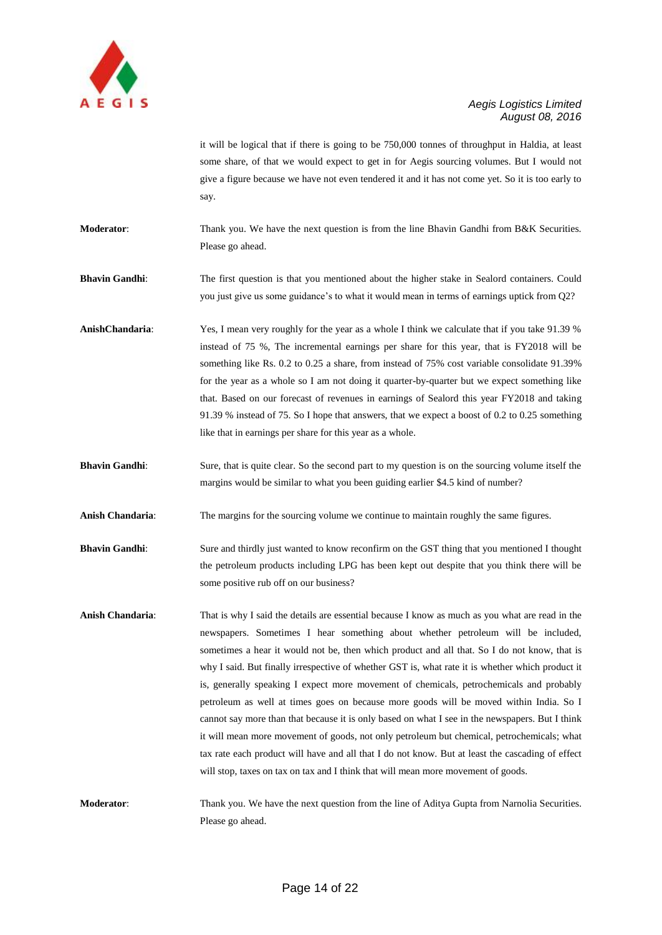

it will be logical that if there is going to be 750,000 tonnes of throughput in Haldia, at least some share, of that we would expect to get in for Aegis sourcing volumes. But I would not give a figure because we have not even tendered it and it has not come yet. So it is too early to say.

**Moderator:** Thank you. We have the next question is from the line Bhavin Gandhi from B&K Securities. Please go ahead.

**Bhavin Gandhi**: The first question is that you mentioned about the higher stake in Sealord containers. Could you just give us some guidance"s to what it would mean in terms of earnings uptick from Q2?

**AnishChandaria**: Yes, I mean very roughly for the year as a whole I think we calculate that if you take 91.39 % instead of 75 %, The incremental earnings per share for this year, that is FY2018 will be something like Rs. 0.2 to 0.25 a share, from instead of 75% cost variable consolidate 91.39% for the year as a whole so I am not doing it quarter-by-quarter but we expect something like that. Based on our forecast of revenues in earnings of Sealord this year FY2018 and taking 91.39 % instead of 75. So I hope that answers, that we expect a boost of 0.2 to 0.25 something like that in earnings per share for this year as a whole.

**Bhavin Gandhi**: Sure, that is quite clear. So the second part to my question is on the sourcing volume itself the margins would be similar to what you been guiding earlier \$4.5 kind of number?

**Anish Chandaria**: The margins for the sourcing volume we continue to maintain roughly the same figures.

- **Bhavin Gandhi:** Sure and thirdly just wanted to know reconfirm on the GST thing that you mentioned I thought the petroleum products including LPG has been kept out despite that you think there will be some positive rub off on our business?
- **Anish Chandaria**: That is why I said the details are essential because I know as much as you what are read in the newspapers. Sometimes I hear something about whether petroleum will be included, sometimes a hear it would not be, then which product and all that. So I do not know, that is why I said. But finally irrespective of whether GST is, what rate it is whether which product it is, generally speaking I expect more movement of chemicals, petrochemicals and probably petroleum as well at times goes on because more goods will be moved within India. So I cannot say more than that because it is only based on what I see in the newspapers. But I think it will mean more movement of goods, not only petroleum but chemical, petrochemicals; what tax rate each product will have and all that I do not know. But at least the cascading of effect will stop, taxes on tax on tax and I think that will mean more movement of goods.

**Moderator:** Thank you. We have the next question from the line of Aditya Gupta from Narnolia Securities. Please go ahead.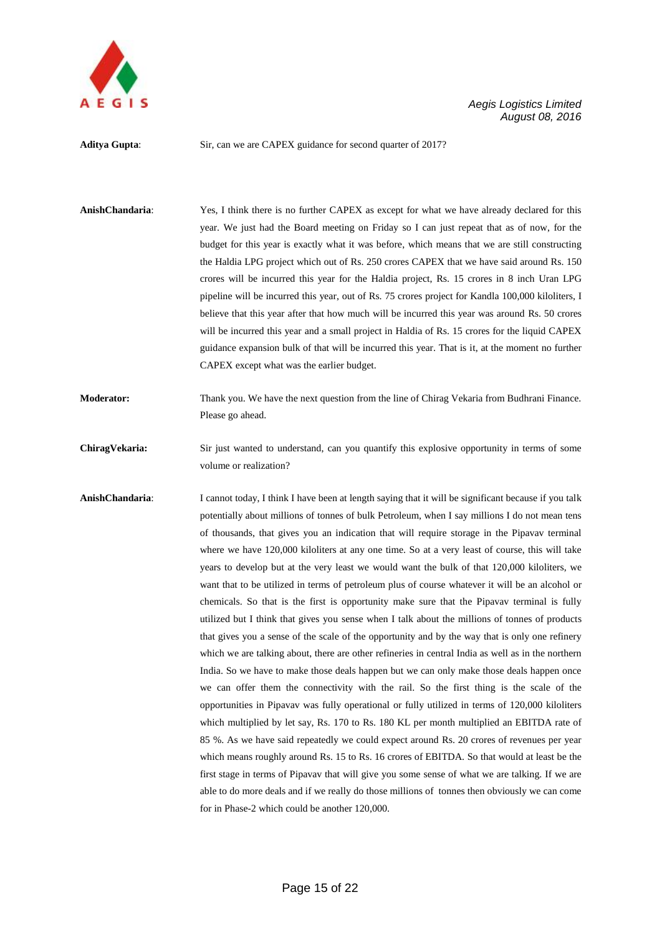

Aditya Gupta: Sir, can we are CAPEX guidance for second quarter of 2017?

**AnishChandaria**: Yes, I think there is no further CAPEX as except for what we have already declared for this year. We just had the Board meeting on Friday so I can just repeat that as of now, for the budget for this year is exactly what it was before, which means that we are still constructing the Haldia LPG project which out of Rs. 250 crores CAPEX that we have said around Rs. 150 crores will be incurred this year for the Haldia project, Rs. 15 crores in 8 inch Uran LPG pipeline will be incurred this year, out of Rs. 75 crores project for Kandla 100,000 kiloliters, I believe that this year after that how much will be incurred this year was around Rs. 50 crores will be incurred this year and a small project in Haldia of Rs. 15 crores for the liquid CAPEX guidance expansion bulk of that will be incurred this year. That is it, at the moment no further CAPEX except what was the earlier budget.

**Moderator:** Thank you. We have the next question from the line of Chirag Vekaria from Budhrani Finance. Please go ahead.

**ChiragVekaria:** Sir just wanted to understand, can you quantify this explosive opportunity in terms of some volume or realization?

**AnishChandaria**: I cannot today, I think I have been at length saying that it will be significant because if you talk potentially about millions of tonnes of bulk Petroleum, when I say millions I do not mean tens of thousands, that gives you an indication that will require storage in the Pipavav terminal where we have 120,000 kiloliters at any one time. So at a very least of course, this will take years to develop but at the very least we would want the bulk of that 120,000 kiloliters, we want that to be utilized in terms of petroleum plus of course whatever it will be an alcohol or chemicals. So that is the first is opportunity make sure that the Pipavav terminal is fully utilized but I think that gives you sense when I talk about the millions of tonnes of products that gives you a sense of the scale of the opportunity and by the way that is only one refinery which we are talking about, there are other refineries in central India as well as in the northern India. So we have to make those deals happen but we can only make those deals happen once we can offer them the connectivity with the rail. So the first thing is the scale of the opportunities in Pipavav was fully operational or fully utilized in terms of 120,000 kiloliters which multiplied by let say, Rs. 170 to Rs. 180 KL per month multiplied an EBITDA rate of 85 %. As we have said repeatedly we could expect around Rs. 20 crores of revenues per year which means roughly around Rs. 15 to Rs. 16 crores of EBITDA. So that would at least be the first stage in terms of Pipavav that will give you some sense of what we are talking. If we are able to do more deals and if we really do those millions of tonnes then obviously we can come for in Phase-2 which could be another 120,000.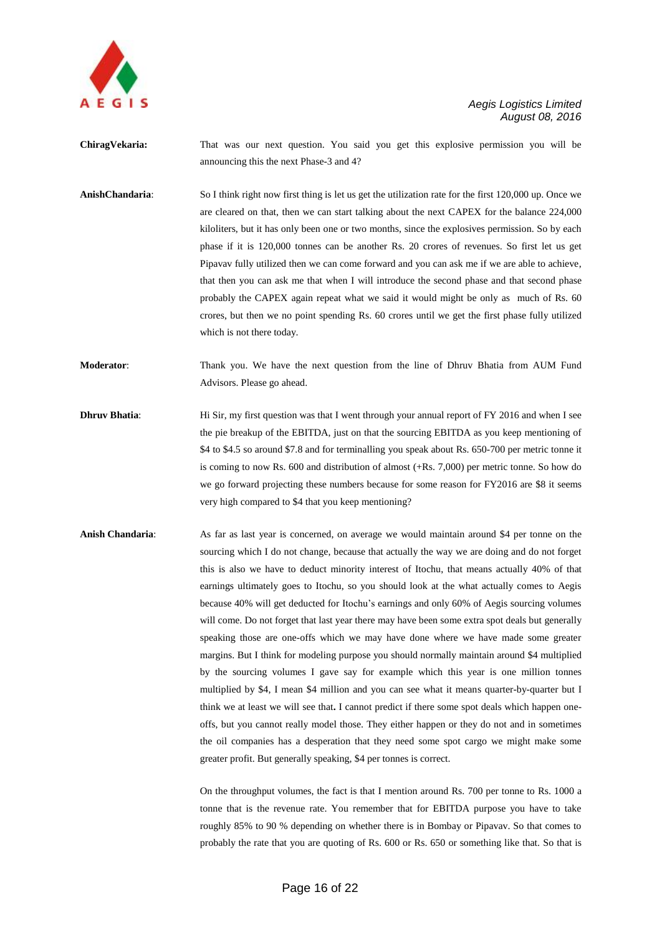

**ChiragVekaria:** That was our next question. You said you get this explosive permission you will be announcing this the next Phase-3 and 4?

**AnishChandaria**: So I think right now first thing is let us get the utilization rate for the first 120,000 up. Once we are cleared on that, then we can start talking about the next CAPEX for the balance 224,000 kiloliters, but it has only been one or two months, since the explosives permission. So by each phase if it is 120,000 tonnes can be another Rs. 20 crores of revenues. So first let us get Pipavav fully utilized then we can come forward and you can ask me if we are able to achieve, that then you can ask me that when I will introduce the second phase and that second phase probably the CAPEX again repeat what we said it would might be only as much of Rs. 60 crores, but then we no point spending Rs. 60 crores until we get the first phase fully utilized which is not there today.

**Moderator**: Thank you. We have the next question from the line of Dhruv Bhatia from AUM Fund Advisors. Please go ahead.

- **Dhruv Bhatia:** Hi Sir, my first question was that I went through your annual report of FY 2016 and when I see the pie breakup of the EBITDA, just on that the sourcing EBITDA as you keep mentioning of \$4 to \$4.5 so around \$7.8 and for terminalling you speak about Rs. 650-700 per metric tonne it is coming to now Rs. 600 and distribution of almost (+Rs. 7,000) per metric tonne. So how do we go forward projecting these numbers because for some reason for FY2016 are \$8 it seems very high compared to \$4 that you keep mentioning?
- **Anish Chandaria**: As far as last year is concerned, on average we would maintain around \$4 per tonne on the sourcing which I do not change, because that actually the way we are doing and do not forget this is also we have to deduct minority interest of Itochu, that means actually 40% of that earnings ultimately goes to Itochu, so you should look at the what actually comes to Aegis because 40% will get deducted for Itochu"s earnings and only 60% of Aegis sourcing volumes will come. Do not forget that last year there may have been some extra spot deals but generally speaking those are one-offs which we may have done where we have made some greater margins. But I think for modeling purpose you should normally maintain around \$4 multiplied by the sourcing volumes I gave say for example which this year is one million tonnes multiplied by \$4, I mean \$4 million and you can see what it means quarter-by-quarter but I think we at least we will see that**.** I cannot predict if there some spot deals which happen oneoffs, but you cannot really model those. They either happen or they do not and in sometimes the oil companies has a desperation that they need some spot cargo we might make some greater profit. But generally speaking, \$4 per tonnes is correct.

On the throughput volumes, the fact is that I mention around Rs. 700 per tonne to Rs. 1000 a tonne that is the revenue rate. You remember that for EBITDA purpose you have to take roughly 85% to 90 % depending on whether there is in Bombay or Pipavav. So that comes to probably the rate that you are quoting of Rs. 600 or Rs. 650 or something like that. So that is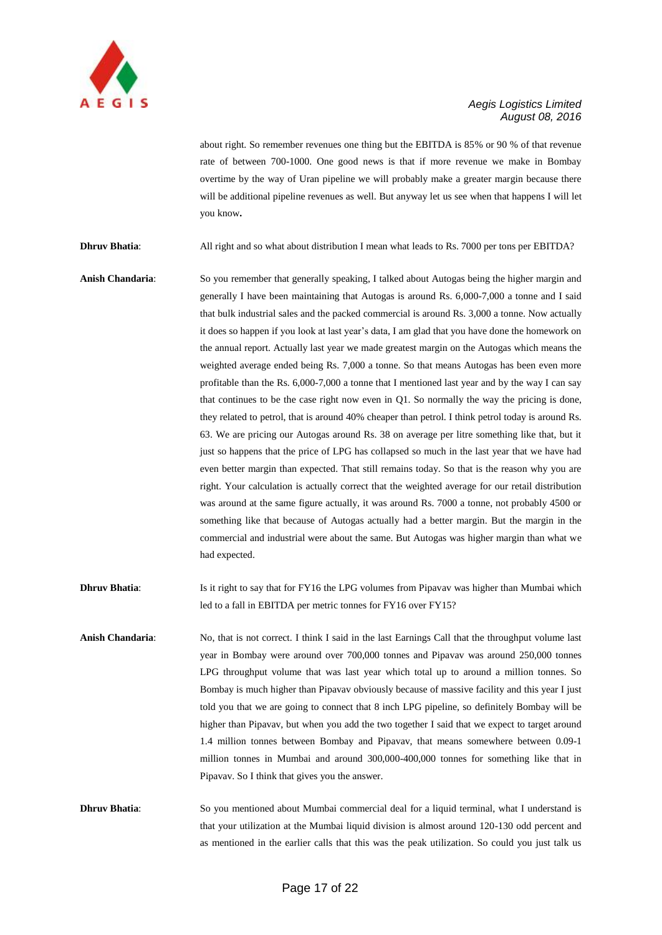

about right. So remember revenues one thing but the EBITDA is 85% or 90 % of that revenue rate of between 700-1000. One good news is that if more revenue we make in Bombay overtime by the way of Uran pipeline we will probably make a greater margin because there will be additional pipeline revenues as well. But anyway let us see when that happens I will let you know**.**

**Dhruv Bhatia**: All right and so what about distribution I mean what leads to Rs. 7000 per tons per EBITDA?

- **Anish Chandaria**: So you remember that generally speaking, I talked about Autogas being the higher margin and generally I have been maintaining that Autogas is around Rs. 6,000-7,000 a tonne and I said that bulk industrial sales and the packed commercial is around Rs. 3,000 a tonne. Now actually it does so happen if you look at last year"s data, I am glad that you have done the homework on the annual report. Actually last year we made greatest margin on the Autogas which means the weighted average ended being Rs. 7,000 a tonne. So that means Autogas has been even more profitable than the Rs. 6,000-7,000 a tonne that I mentioned last year and by the way I can say that continues to be the case right now even in Q1. So normally the way the pricing is done, they related to petrol, that is around 40% cheaper than petrol. I think petrol today is around Rs. 63. We are pricing our Autogas around Rs. 38 on average per litre something like that, but it just so happens that the price of LPG has collapsed so much in the last year that we have had even better margin than expected. That still remains today. So that is the reason why you are right. Your calculation is actually correct that the weighted average for our retail distribution was around at the same figure actually, it was around Rs. 7000 a tonne, not probably 4500 or something like that because of Autogas actually had a better margin. But the margin in the commercial and industrial were about the same. But Autogas was higher margin than what we had expected.
- **Dhruv Bhatia:** Is it right to say that for FY16 the LPG volumes from Pipavav was higher than Mumbai which led to a fall in EBITDA per metric tonnes for FY16 over FY15?
- **Anish Chandaria**: No, that is not correct. I think I said in the last Earnings Call that the throughput volume last year in Bombay were around over 700,000 tonnes and Pipavav was around 250,000 tonnes LPG throughput volume that was last year which total up to around a million tonnes. So Bombay is much higher than Pipavav obviously because of massive facility and this year I just told you that we are going to connect that 8 inch LPG pipeline, so definitely Bombay will be higher than Pipavav, but when you add the two together I said that we expect to target around 1.4 million tonnes between Bombay and Pipavav, that means somewhere between 0.09-1 million tonnes in Mumbai and around 300,000-400,000 tonnes for something like that in Pipavav. So I think that gives you the answer.

**Dhruv Bhatia:** So you mentioned about Mumbai commercial deal for a liquid terminal, what I understand is that your utilization at the Mumbai liquid division is almost around 120-130 odd percent and as mentioned in the earlier calls that this was the peak utilization. So could you just talk us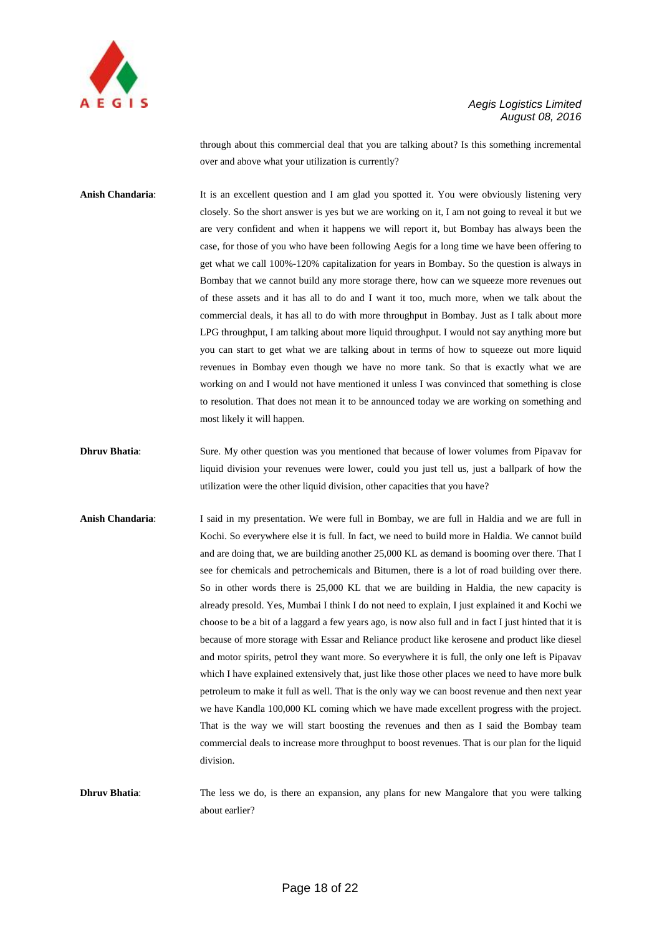

through about this commercial deal that you are talking about? Is this something incremental over and above what your utilization is currently?

Anish Chandaria: It is an excellent question and I am glad you spotted it. You were obviously listening very closely. So the short answer is yes but we are working on it, I am not going to reveal it but we are very confident and when it happens we will report it, but Bombay has always been the case, for those of you who have been following Aegis for a long time we have been offering to get what we call 100%-120% capitalization for years in Bombay. So the question is always in Bombay that we cannot build any more storage there, how can we squeeze more revenues out of these assets and it has all to do and I want it too, much more, when we talk about the commercial deals, it has all to do with more throughput in Bombay. Just as I talk about more LPG throughput, I am talking about more liquid throughput. I would not say anything more but you can start to get what we are talking about in terms of how to squeeze out more liquid revenues in Bombay even though we have no more tank. So that is exactly what we are working on and I would not have mentioned it unless I was convinced that something is close to resolution. That does not mean it to be announced today we are working on something and most likely it will happen.

- **Dhruv Bhatia:** Sure. My other question was you mentioned that because of lower volumes from Pipavav for liquid division your revenues were lower, could you just tell us, just a ballpark of how the utilization were the other liquid division, other capacities that you have?
- **Anish Chandaria**: I said in my presentation. We were full in Bombay, we are full in Haldia and we are full in Kochi. So everywhere else it is full. In fact, we need to build more in Haldia. We cannot build and are doing that, we are building another 25,000 KL as demand is booming over there. That I see for chemicals and petrochemicals and Bitumen, there is a lot of road building over there. So in other words there is 25,000 KL that we are building in Haldia, the new capacity is already presold. Yes, Mumbai I think I do not need to explain, I just explained it and Kochi we choose to be a bit of a laggard a few years ago, is now also full and in fact I just hinted that it is because of more storage with Essar and Reliance product like kerosene and product like diesel and motor spirits, petrol they want more. So everywhere it is full, the only one left is Pipavav which I have explained extensively that, just like those other places we need to have more bulk petroleum to make it full as well. That is the only way we can boost revenue and then next year we have Kandla 100,000 KL coming which we have made excellent progress with the project. That is the way we will start boosting the revenues and then as I said the Bombay team commercial deals to increase more throughput to boost revenues. That is our plan for the liquid division.

**Dhruv Bhatia:** The less we do, is there an expansion, any plans for new Mangalore that you were talking about earlier?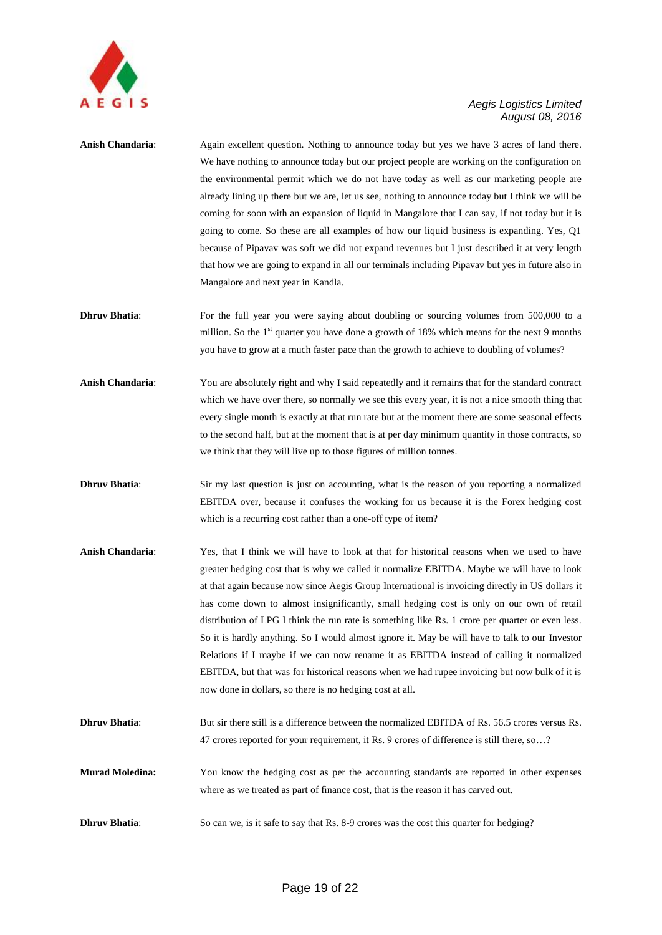

- **Anish Chandaria**: Again excellent question. Nothing to announce today but yes we have 3 acres of land there. We have nothing to announce today but our project people are working on the configuration on the environmental permit which we do not have today as well as our marketing people are already lining up there but we are, let us see, nothing to announce today but I think we will be coming for soon with an expansion of liquid in Mangalore that I can say, if not today but it is going to come. So these are all examples of how our liquid business is expanding. Yes, Q1 because of Pipavav was soft we did not expand revenues but I just described it at very length that how we are going to expand in all our terminals including Pipavav but yes in future also in Mangalore and next year in Kandla.
- **Dhruv Bhatia:** For the full year you were saying about doubling or sourcing volumes from 500,000 to a million. So the  $1<sup>st</sup>$  quarter you have done a growth of 18% which means for the next 9 months you have to grow at a much faster pace than the growth to achieve to doubling of volumes?
- **Anish Chandaria**: You are absolutely right and why I said repeatedly and it remains that for the standard contract which we have over there, so normally we see this every year, it is not a nice smooth thing that every single month is exactly at that run rate but at the moment there are some seasonal effects to the second half, but at the moment that is at per day minimum quantity in those contracts, so we think that they will live up to those figures of million tonnes.
- **Dhruv Bhatia:** Sir my last question is just on accounting, what is the reason of you reporting a normalized EBITDA over, because it confuses the working for us because it is the Forex hedging cost which is a recurring cost rather than a one-off type of item?
- **Anish Chandaria**: Yes, that I think we will have to look at that for historical reasons when we used to have greater hedging cost that is why we called it normalize EBITDA. Maybe we will have to look at that again because now since Aegis Group International is invoicing directly in US dollars it has come down to almost insignificantly, small hedging cost is only on our own of retail distribution of LPG I think the run rate is something like Rs. 1 crore per quarter or even less. So it is hardly anything. So I would almost ignore it. May be will have to talk to our Investor Relations if I maybe if we can now rename it as EBITDA instead of calling it normalized EBITDA, but that was for historical reasons when we had rupee invoicing but now bulk of it is now done in dollars, so there is no hedging cost at all.
- **Dhruv Bhatia:** But sir there still is a difference between the normalized EBITDA of Rs. 56.5 crores versus Rs. 47 crores reported for your requirement, it Rs. 9 crores of difference is still there, so…?
- **Murad Moledina:** You know the hedging cost as per the accounting standards are reported in other expenses where as we treated as part of finance cost, that is the reason it has carved out.
- **Dhruv Bhatia:** So can we, is it safe to say that Rs. 8-9 crores was the cost this quarter for hedging?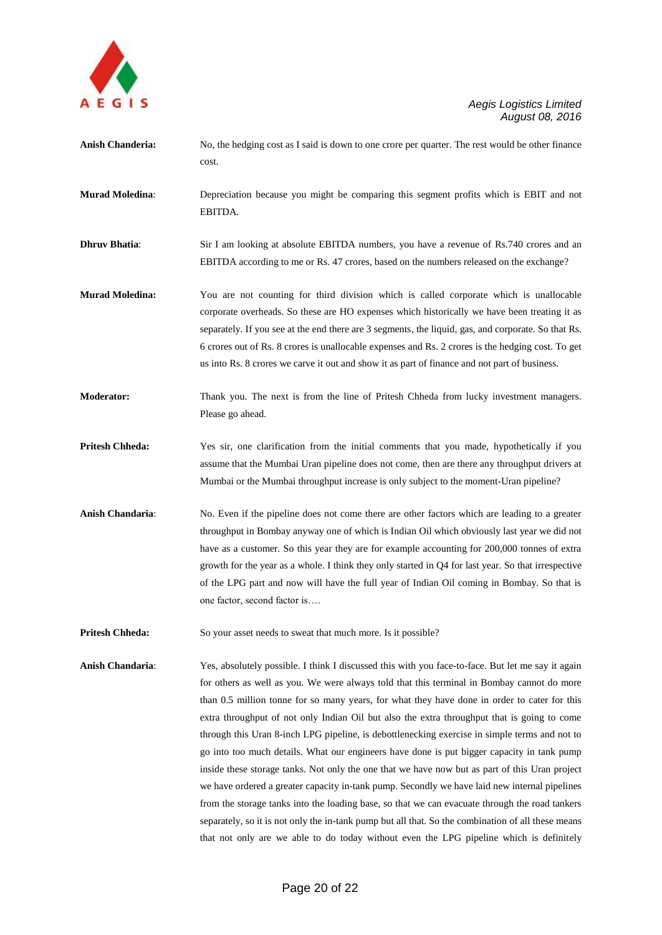

- **Anish Chanderia:** No, the hedging cost as I said is down to one crore per quarter. The rest would be other finance cost.
- **Murad Moledina**: Depreciation because you might be comparing this segment profits which is EBIT and not EBITDA.
- **Dhruv Bhatia:** Sir I am looking at absolute EBITDA numbers, you have a revenue of Rs.740 crores and an EBITDA according to me or Rs. 47 crores, based on the numbers released on the exchange?
- **Murad Moledina:** You are not counting for third division which is called corporate which is unallocable corporate overheads. So these are HO expenses which historically we have been treating it as separately. If you see at the end there are 3 segments, the liquid, gas, and corporate. So that Rs. 6 crores out of Rs. 8 crores is unallocable expenses and Rs. 2 crores is the hedging cost. To get us into Rs. 8 crores we carve it out and show it as part of finance and not part of business.
- **Moderator:** Thank you. The next is from the line of Pritesh Chheda from lucky investment managers. Please go ahead.
- **Pritesh Chheda:** Yes sir, one clarification from the initial comments that you made, hypothetically if you assume that the Mumbai Uran pipeline does not come, then are there any throughput drivers at Mumbai or the Mumbai throughput increase is only subject to the moment-Uran pipeline?
- **Anish Chandaria**: No. Even if the pipeline does not come there are other factors which are leading to a greater throughput in Bombay anyway one of which is Indian Oil which obviously last year we did not have as a customer. So this year they are for example accounting for 200,000 tonnes of extra growth for the year as a whole. I think they only started in Q4 for last year. So that irrespective of the LPG part and now will have the full year of Indian Oil coming in Bombay. So that is one factor, second factor is….
- **Pritesh Chheda:** So your asset needs to sweat that much more. Is it possible?
- **Anish Chandaria**: Yes, absolutely possible. I think I discussed this with you face-to-face. But let me say it again for others as well as you. We were always told that this terminal in Bombay cannot do more than 0.5 million tonne for so many years, for what they have done in order to cater for this extra throughput of not only Indian Oil but also the extra throughput that is going to come through this Uran 8-inch LPG pipeline, is debottlenecking exercise in simple terms and not to go into too much details. What our engineers have done is put bigger capacity in tank pump inside these storage tanks. Not only the one that we have now but as part of this Uran project we have ordered a greater capacity in-tank pump. Secondly we have laid new internal pipelines from the storage tanks into the loading base, so that we can evacuate through the road tankers separately, so it is not only the in-tank pump but all that. So the combination of all these means that not only are we able to do today without even the LPG pipeline which is definitely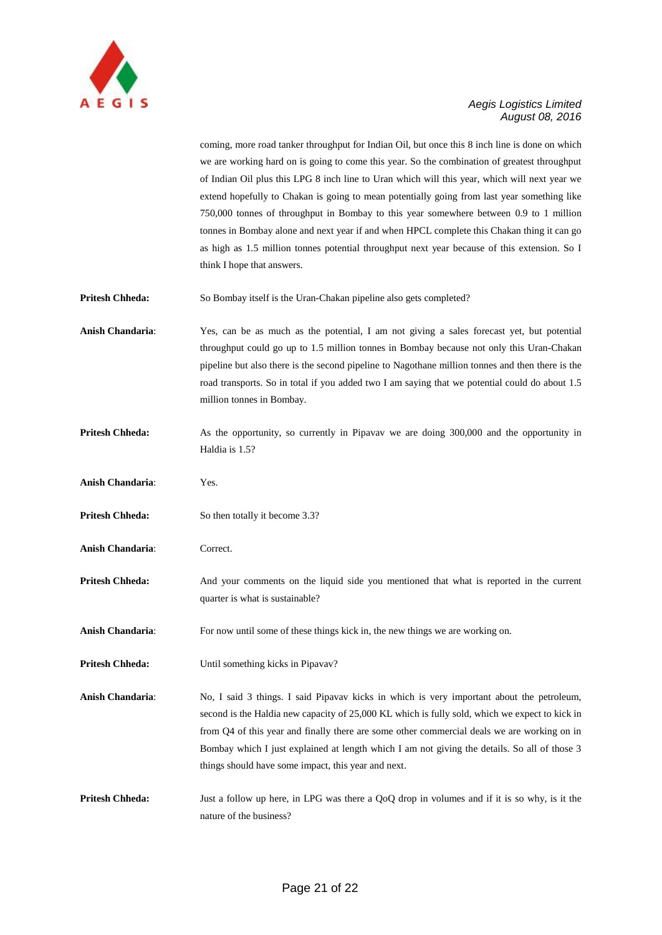

coming, more road tanker throughput for Indian Oil, but once this 8 inch line is done on which we are working hard on is going to come this year. So the combination of greatest throughput of Indian Oil plus this LPG 8 inch line to Uran which will this year, which will next year we extend hopefully to Chakan is going to mean potentially going from last year something like 750,000 tonnes of throughput in Bombay to this year somewhere between 0.9 to 1 million tonnes in Bombay alone and next year if and when HPCL complete this Chakan thing it can go as high as 1.5 million tonnes potential throughput next year because of this extension. So I think I hope that answers.

**Pritesh Chheda:** So Bombay itself is the Uran-Chakan pipeline also gets completed?

**Anish Chandaria**: Yes, can be as much as the potential, I am not giving a sales forecast yet, but potential throughput could go up to 1.5 million tonnes in Bombay because not only this Uran-Chakan pipeline but also there is the second pipeline to Nagothane million tonnes and then there is the road transports. So in total if you added two I am saying that we potential could do about 1.5 million tonnes in Bombay.

- **Pritesh Chheda:** As the opportunity, so currently in Pipavav we are doing 300,000 and the opportunity in Haldia is 1.5?
- **Anish Chandaria**: Yes.
- **Pritesh Chheda:** So then totally it become 3.3?
- **Anish Chandaria**: Correct.
- **Pritesh Chheda:** And your comments on the liquid side you mentioned that what is reported in the current quarter is what is sustainable?

Anish Chandaria: For now until some of these things kick in, the new things we are working on.

**Pritesh Chheda:** Until something kicks in Pipavav?

**Anish Chandaria**: No, I said 3 things. I said Pipavav kicks in which is very important about the petroleum, second is the Haldia new capacity of 25,000 KL which is fully sold, which we expect to kick in from Q4 of this year and finally there are some other commercial deals we are working on in Bombay which I just explained at length which I am not giving the details. So all of those 3 things should have some impact, this year and next.

**Pritesh Chheda:** Just a follow up here, in LPG was there a OoO drop in volumes and if it is so why, is it the nature of the business?